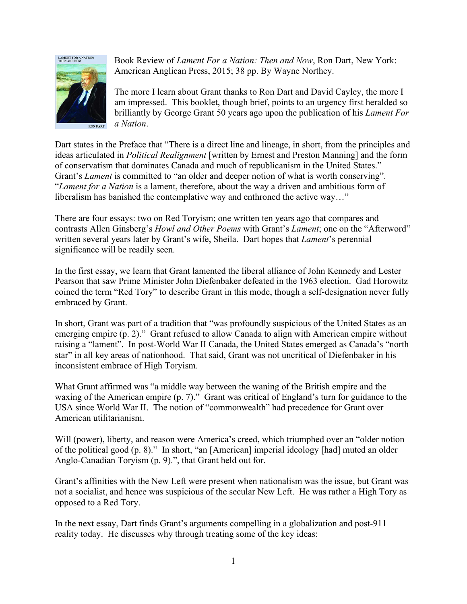

Book Review of *Lament For a Nation: Then and Now*, Ron Dart, New York: American Anglican Press, 2015; 38 pp. By Wayne Northey.

The more I learn about Grant thanks to Ron Dart and David Cayley, the more I am impressed. This booklet, though brief, points to an urgency first heralded so brilliantly by George Grant 50 years ago upon the publication of his *Lament For a Nation*.

Dart states in the Preface that "There is a direct line and lineage, in short, from the principles and ideas articulated in *Political Realignment* [written by Ernest and Preston Manning] and the form of conservatism that dominates Canada and much of republicanism in the United States." Grant's *Lament* is committed to "an older and deeper notion of what is worth conserving". "*Lament for a Nation* is a lament, therefore, about the way a driven and ambitious form of liberalism has banished the contemplative way and enthroned the active way…"

There are four essays: two on Red Toryism; one written ten years ago that compares and contrasts Allen Ginsberg's *Howl and Other Poems* with Grant's *Lament*; one on the "Afterword" written several years later by Grant's wife, Sheila. Dart hopes that *Lament*'s perennial significance will be readily seen.

In the first essay, we learn that Grant lamented the liberal alliance of John Kennedy and Lester Pearson that saw Prime Minister John Diefenbaker defeated in the 1963 election. Gad Horowitz coined the term "Red Tory" to describe Grant in this mode, though a self-designation never fully embraced by Grant.

In short, Grant was part of a tradition that "was profoundly suspicious of the United States as an emerging empire (p. 2)." Grant refused to allow Canada to align with American empire without raising a "lament". In post-World War II Canada, the United States emerged as Canada's "north star" in all key areas of nationhood. That said, Grant was not uncritical of Diefenbaker in his inconsistent embrace of High Toryism.

What Grant affirmed was "a middle way between the waning of the British empire and the waxing of the American empire (p. 7)." Grant was critical of England's turn for guidance to the USA since World War II. The notion of "commonwealth" had precedence for Grant over American utilitarianism.

Will (power), liberty, and reason were America's creed, which triumphed over an "older notion of the political good (p. 8)." In short, "an [American] imperial ideology [had] muted an older Anglo-Canadian Toryism (p. 9).", that Grant held out for.

Grant's affinities with the New Left were present when nationalism was the issue, but Grant was not a socialist, and hence was suspicious of the secular New Left. He was rather a High Tory as opposed to a Red Tory.

In the next essay, Dart finds Grant's arguments compelling in a globalization and post-911 reality today. He discusses why through treating some of the key ideas: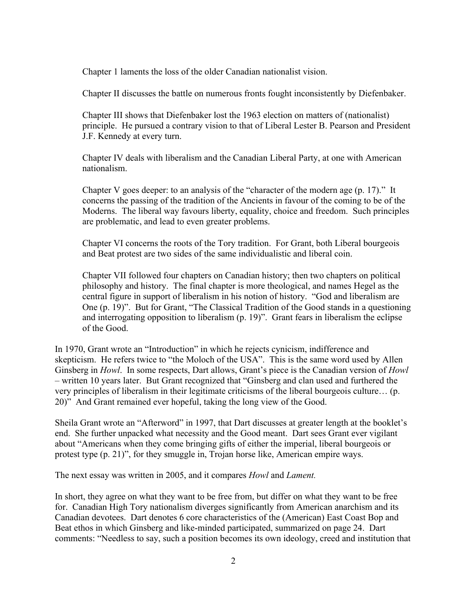Chapter 1 laments the loss of the older Canadian nationalist vision.

Chapter II discusses the battle on numerous fronts fought inconsistently by Diefenbaker.

 Chapter III shows that Diefenbaker lost the 1963 election on matters of (nationalist) principle. He pursued a contrary vision to that of Liberal Lester B. Pearson and President J.F. Kennedy at every turn.

 Chapter IV deals with liberalism and the Canadian Liberal Party, at one with American nationalism.

 Chapter V goes deeper: to an analysis of the "character of the modern age (p. 17)." It concerns the passing of the tradition of the Ancients in favour of the coming to be of the Moderns. The liberal way favours liberty, equality, choice and freedom. Such principles are problematic, and lead to even greater problems.

 Chapter VI concerns the roots of the Tory tradition. For Grant, both Liberal bourgeois and Beat protest are two sides of the same individualistic and liberal coin.

 Chapter VII followed four chapters on Canadian history; then two chapters on political philosophy and history. The final chapter is more theological, and names Hegel as the central figure in support of liberalism in his notion of history. "God and liberalism are One (p. 19)". But for Grant, "The Classical Tradition of the Good stands in a questioning and interrogating opposition to liberalism (p. 19)". Grant fears in liberalism the eclipse of the Good.

In 1970, Grant wrote an "Introduction" in which he rejects cynicism, indifference and skepticism. He refers twice to "the Moloch of the USA". This is the same word used by Allen Ginsberg in *Howl*. In some respects, Dart allows, Grant's piece is the Canadian version of *Howl*  – written 10 years later. But Grant recognized that "Ginsberg and clan used and furthered the very principles of liberalism in their legitimate criticisms of the liberal bourgeois culture… (p. 20)" And Grant remained ever hopeful, taking the long view of the Good.

Sheila Grant wrote an "Afterword" in 1997, that Dart discusses at greater length at the booklet's end. She further unpacked what necessity and the Good meant. Dart sees Grant ever vigilant about "Americans when they come bringing gifts of either the imperial, liberal bourgeois or protest type (p. 21)", for they smuggle in, Trojan horse like, American empire ways.

The next essay was written in 2005, and it compares *Howl* and *Lament.*

In short, they agree on what they want to be free from, but differ on what they want to be free for. Canadian High Tory nationalism diverges significantly from American anarchism and its Canadian devotees. Dart denotes 6 core characteristics of the (American) East Coast Bop and Beat ethos in which Ginsberg and like-minded participated, summarized on page 24. Dart comments: "Needless to say, such a position becomes its own ideology, creed and institution that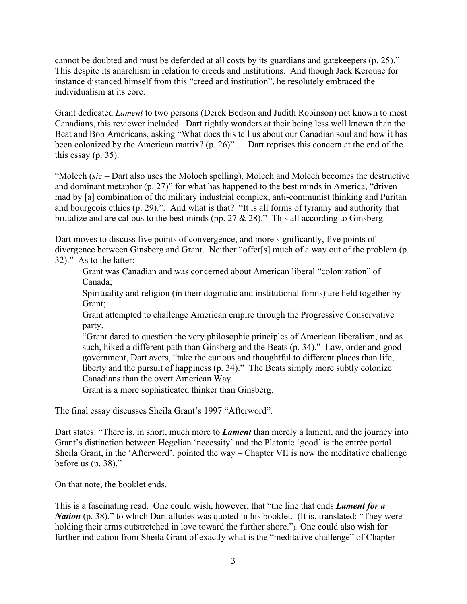cannot be doubted and must be defended at all costs by its guardians and gatekeepers (p. 25)." This despite its anarchism in relation to creeds and institutions. And though Jack Kerouac for instance distanced himself from this "creed and institution", he resolutely embraced the individualism at its core.

Grant dedicated *Lament* to two persons (Derek Bedson and Judith Robinson) not known to most Canadians, this reviewer included. Dart rightly wonders at their being less well known than the Beat and Bop Americans, asking "What does this tell us about our Canadian soul and how it has been colonized by the American matrix? (p. 26)"… Dart reprises this concern at the end of the this essay (p. 35).

"Molech (*sic* – Dart also uses the Moloch spelling), Molech and Molech becomes the destructive and dominant metaphor (p. 27)" for what has happened to the best minds in America, "driven mad by [a] combination of the military industrial complex, anti-communist thinking and Puritan and bourgeois ethics (p. 29).". And what is that? "It is all forms of tyranny and authority that brutalize and are callous to the best minds (pp.  $27 \& 28$ )." This all according to Ginsberg.

Dart moves to discuss five points of convergence, and more significantly, five points of divergence between Ginsberg and Grant. Neither "offer[s] much of a way out of the problem (p. 32)." As to the latter:

 Grant was Canadian and was concerned about American liberal "colonization" of Canada;

 Spirituality and religion (in their dogmatic and institutional forms) are held together by Grant;

 Grant attempted to challenge American empire through the Progressive Conservative party.

 "Grant dared to question the very philosophic principles of American liberalism, and as such, hiked a different path than Ginsberg and the Beats (p. 34)." Law, order and good government, Dart avers, "take the curious and thoughtful to different places than life, liberty and the pursuit of happiness (p. 34)." The Beats simply more subtly colonize Canadians than the overt American Way.

Grant is a more sophisticated thinker than Ginsberg.

The final essay discusses Sheila Grant's 1997 "Afterword".

Dart states: "There is, in short, much more to *Lament* than merely a lament, and the journey into Grant's distinction between Hegelian 'necessity' and the Platonic 'good' is the entrée portal – Sheila Grant, in the 'Afterword', pointed the way – Chapter VII is now the meditative challenge before us (p. 38)."

On that note, the booklet ends.

This is a fascinating read. One could wish, however, that "the line that ends *Lament for a Nation* (p. 38)." to which Dart alludes was quoted in his booklet. (It is, translated: "They were holding their arms outstretched in love toward the further shore."). One could also wish for further indication from Sheila Grant of exactly what is the "meditative challenge" of Chapter